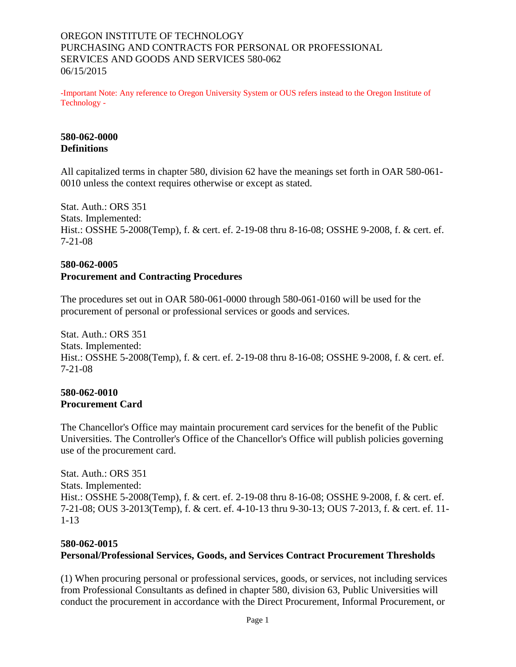## OREGON INSTITUTE OF TECHNOLOGY PURCHASING AND CONTRACTS FOR PERSONAL OR PROFESSIONAL SERVICES AND GOODS AND SERVICES 580-062 06/15/2015

-Important Note: Any reference to Oregon University System or OUS refers instead to the Oregon Institute of Technology -

### **580-062-0000 Definitions**

All capitalized terms in chapter 580, division 62 have the meanings set forth in OAR 580-061- 0010 unless the context requires otherwise or except as stated.

Stat. Auth.: ORS 351 Stats. Implemented: Hist.: OSSHE 5-2008(Temp), f. & cert. ef. 2-19-08 thru 8-16-08; OSSHE 9-2008, f. & cert. ef. 7-21-08

# **580-062-0005**

## **Procurement and Contracting Procedures**

The procedures set out in OAR 580-061-0000 through 580-061-0160 will be used for the procurement of personal or professional services or goods and services.

Stat. Auth.: ORS 351 Stats. Implemented: Hist.: OSSHE 5-2008(Temp), f. & cert. ef. 2-19-08 thru 8-16-08; OSSHE 9-2008, f. & cert. ef. 7-21-08

#### **580-062-0010 Procurement Card**

The Chancellor's Office may maintain procurement card services for the benefit of the Public Universities. The Controller's Office of the Chancellor's Office will publish policies governing use of the procurement card.

Stat. Auth.: ORS 351 Stats. Implemented: Hist.: OSSHE 5-2008(Temp), f. & cert. ef. 2-19-08 thru 8-16-08; OSSHE 9-2008, f. & cert. ef. 7-21-08; OUS 3-2013(Temp), f. & cert. ef. 4-10-13 thru 9-30-13; OUS 7-2013, f. & cert. ef. 11- 1-13

### **580-062-0015**

## **Personal/Professional Services, Goods, and Services Contract Procurement Thresholds**

(1) When procuring personal or professional services, goods, or services, not including services from Professional Consultants as defined in chapter 580, division 63, Public Universities will conduct the procurement in accordance with the Direct Procurement, Informal Procurement, or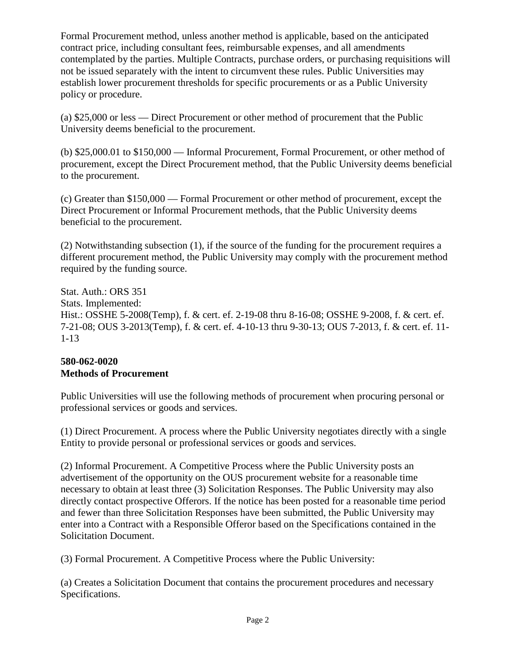Formal Procurement method, unless another method is applicable, based on the anticipated contract price, including consultant fees, reimbursable expenses, and all amendments contemplated by the parties. Multiple Contracts, purchase orders, or purchasing requisitions will not be issued separately with the intent to circumvent these rules. Public Universities may establish lower procurement thresholds for specific procurements or as a Public University policy or procedure.

(a) \$25,000 or less — Direct Procurement or other method of procurement that the Public University deems beneficial to the procurement.

(b) \$25,000.01 to \$150,000 — Informal Procurement, Formal Procurement, or other method of procurement, except the Direct Procurement method, that the Public University deems beneficial to the procurement.

(c) Greater than \$150,000 — Formal Procurement or other method of procurement, except the Direct Procurement or Informal Procurement methods, that the Public University deems beneficial to the procurement.

(2) Notwithstanding subsection (1), if the source of the funding for the procurement requires a different procurement method, the Public University may comply with the procurement method required by the funding source.

Stat. Auth.: ORS 351 Stats. Implemented: Hist.: OSSHE 5-2008(Temp), f. & cert. ef. 2-19-08 thru 8-16-08; OSSHE 9-2008, f. & cert. ef. 7-21-08; OUS 3-2013(Temp), f. & cert. ef. 4-10-13 thru 9-30-13; OUS 7-2013, f. & cert. ef. 11- 1-13

# **580-062-0020 Methods of Procurement**

Public Universities will use the following methods of procurement when procuring personal or professional services or goods and services.

(1) Direct Procurement. A process where the Public University negotiates directly with a single Entity to provide personal or professional services or goods and services.

(2) Informal Procurement. A Competitive Process where the Public University posts an advertisement of the opportunity on the OUS procurement website for a reasonable time necessary to obtain at least three (3) Solicitation Responses. The Public University may also directly contact prospective Offerors. If the notice has been posted for a reasonable time period and fewer than three Solicitation Responses have been submitted, the Public University may enter into a Contract with a Responsible Offeror based on the Specifications contained in the Solicitation Document.

(3) Formal Procurement. A Competitive Process where the Public University:

(a) Creates a Solicitation Document that contains the procurement procedures and necessary Specifications.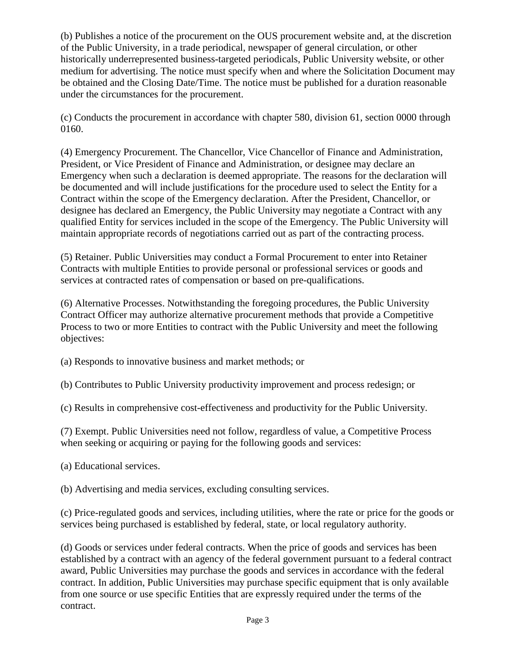(b) Publishes a notice of the procurement on the OUS procurement website and, at the discretion of the Public University, in a trade periodical, newspaper of general circulation, or other historically underrepresented business-targeted periodicals, Public University website, or other medium for advertising. The notice must specify when and where the Solicitation Document may be obtained and the Closing Date/Time. The notice must be published for a duration reasonable under the circumstances for the procurement.

(c) Conducts the procurement in accordance with chapter 580, division 61, section 0000 through 0160.

(4) Emergency Procurement. The Chancellor, Vice Chancellor of Finance and Administration, President, or Vice President of Finance and Administration, or designee may declare an Emergency when such a declaration is deemed appropriate. The reasons for the declaration will be documented and will include justifications for the procedure used to select the Entity for a Contract within the scope of the Emergency declaration. After the President, Chancellor, or designee has declared an Emergency, the Public University may negotiate a Contract with any qualified Entity for services included in the scope of the Emergency. The Public University will maintain appropriate records of negotiations carried out as part of the contracting process.

(5) Retainer. Public Universities may conduct a Formal Procurement to enter into Retainer Contracts with multiple Entities to provide personal or professional services or goods and services at contracted rates of compensation or based on pre-qualifications.

(6) Alternative Processes. Notwithstanding the foregoing procedures, the Public University Contract Officer may authorize alternative procurement methods that provide a Competitive Process to two or more Entities to contract with the Public University and meet the following objectives:

(a) Responds to innovative business and market methods; or

(b) Contributes to Public University productivity improvement and process redesign; or

(c) Results in comprehensive cost-effectiveness and productivity for the Public University.

(7) Exempt. Public Universities need not follow, regardless of value, a Competitive Process when seeking or acquiring or paying for the following goods and services:

(a) Educational services.

(b) Advertising and media services, excluding consulting services.

(c) Price-regulated goods and services, including utilities, where the rate or price for the goods or services being purchased is established by federal, state, or local regulatory authority.

(d) Goods or services under federal contracts. When the price of goods and services has been established by a contract with an agency of the federal government pursuant to a federal contract award, Public Universities may purchase the goods and services in accordance with the federal contract. In addition, Public Universities may purchase specific equipment that is only available from one source or use specific Entities that are expressly required under the terms of the contract.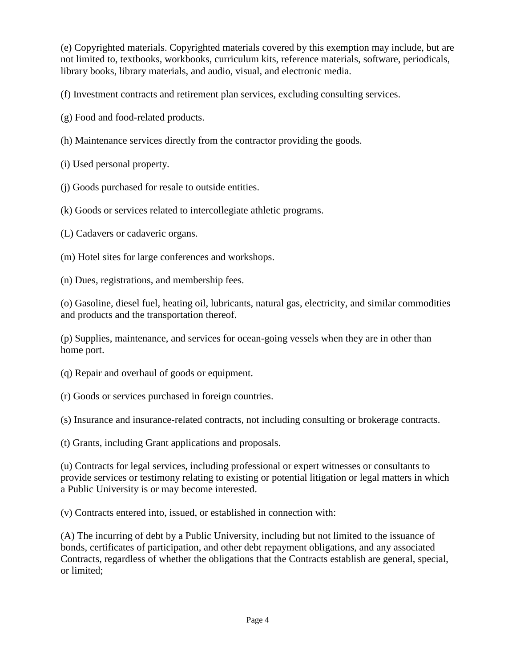(e) Copyrighted materials. Copyrighted materials covered by this exemption may include, but are not limited to, textbooks, workbooks, curriculum kits, reference materials, software, periodicals, library books, library materials, and audio, visual, and electronic media.

(f) Investment contracts and retirement plan services, excluding consulting services.

- (g) Food and food-related products.
- (h) Maintenance services directly from the contractor providing the goods.
- (i) Used personal property.
- (j) Goods purchased for resale to outside entities.
- (k) Goods or services related to intercollegiate athletic programs.
- (L) Cadavers or cadaveric organs.
- (m) Hotel sites for large conferences and workshops.
- (n) Dues, registrations, and membership fees.

(o) Gasoline, diesel fuel, heating oil, lubricants, natural gas, electricity, and similar commodities and products and the transportation thereof.

(p) Supplies, maintenance, and services for ocean-going vessels when they are in other than home port.

- (q) Repair and overhaul of goods or equipment.
- (r) Goods or services purchased in foreign countries.

(s) Insurance and insurance-related contracts, not including consulting or brokerage contracts.

(t) Grants, including Grant applications and proposals.

(u) Contracts for legal services, including professional or expert witnesses or consultants to provide services or testimony relating to existing or potential litigation or legal matters in which a Public University is or may become interested.

(v) Contracts entered into, issued, or established in connection with:

(A) The incurring of debt by a Public University, including but not limited to the issuance of bonds, certificates of participation, and other debt repayment obligations, and any associated Contracts, regardless of whether the obligations that the Contracts establish are general, special, or limited;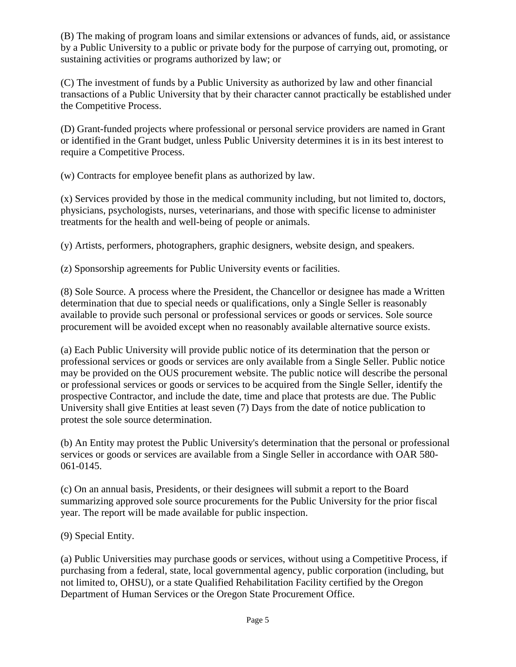(B) The making of program loans and similar extensions or advances of funds, aid, or assistance by a Public University to a public or private body for the purpose of carrying out, promoting, or sustaining activities or programs authorized by law; or

(C) The investment of funds by a Public University as authorized by law and other financial transactions of a Public University that by their character cannot practically be established under the Competitive Process.

(D) Grant-funded projects where professional or personal service providers are named in Grant or identified in the Grant budget, unless Public University determines it is in its best interest to require a Competitive Process.

(w) Contracts for employee benefit plans as authorized by law.

(x) Services provided by those in the medical community including, but not limited to, doctors, physicians, psychologists, nurses, veterinarians, and those with specific license to administer treatments for the health and well-being of people or animals.

(y) Artists, performers, photographers, graphic designers, website design, and speakers.

(z) Sponsorship agreements for Public University events or facilities.

(8) Sole Source. A process where the President, the Chancellor or designee has made a Written determination that due to special needs or qualifications, only a Single Seller is reasonably available to provide such personal or professional services or goods or services. Sole source procurement will be avoided except when no reasonably available alternative source exists.

(a) Each Public University will provide public notice of its determination that the person or professional services or goods or services are only available from a Single Seller. Public notice may be provided on the OUS procurement website. The public notice will describe the personal or professional services or goods or services to be acquired from the Single Seller, identify the prospective Contractor, and include the date, time and place that protests are due. The Public University shall give Entities at least seven (7) Days from the date of notice publication to protest the sole source determination.

(b) An Entity may protest the Public University's determination that the personal or professional services or goods or services are available from a Single Seller in accordance with OAR 580- 061-0145.

(c) On an annual basis, Presidents, or their designees will submit a report to the Board summarizing approved sole source procurements for the Public University for the prior fiscal year. The report will be made available for public inspection.

(9) Special Entity.

(a) Public Universities may purchase goods or services, without using a Competitive Process, if purchasing from a federal, state, local governmental agency, public corporation (including, but not limited to, OHSU), or a state Qualified Rehabilitation Facility certified by the Oregon Department of Human Services or the Oregon State Procurement Office.